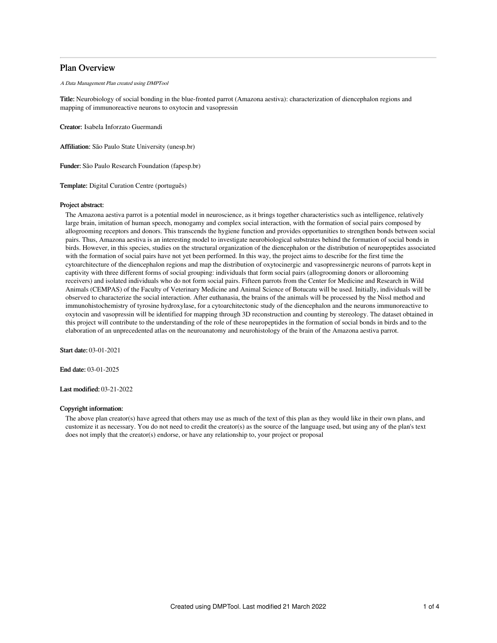# Plan Overview

A Data Management Plan created using DMPTool

Title: Neurobiology of social bonding in the blue-fronted parrot (Amazona aestiva): characterization of diencephalon regions and mapping of immunoreactive neurons to oxytocin and vasopressin

Creator: Isabela Inforzato Guermandi

Affiliation: São Paulo State University (unesp.br)

Funder: São Paulo Research Foundation (fapesp.br)

Template: Digital Curation Centre (português)

# Project abstract:

The Amazona aestiva parrot is a potential model in neuroscience, as it brings together characteristics such as intelligence, relatively large brain, imitation of human speech, monogamy and complex social interaction, with the formation of social pairs composed by allogrooming receptors and donors. This transcends the hygiene function and provides opportunities to strengthen bonds between social pairs. Thus, Amazona aestiva is an interesting model to investigate neurobiological substrates behind the formation of social bonds in birds. However, in this species, studies on the structural organization of the diencephalon or the distribution of neuropeptides associated with the formation of social pairs have not yet been performed. In this way, the project aims to describe for the first time the cytoarchitecture of the diencephalon regions and map the distribution of oxytocinergic and vasopressinergic neurons of parrots kept in captivity with three different forms of social grouping: individuals that form social pairs (allogrooming donors or allorooming receivers) and isolated individuals who do not form social pairs. Fifteen parrots from the Center for Medicine and Research in Wild Animals (CEMPAS) of the Faculty of Veterinary Medicine and Animal Science of Botucatu will be used. Initially, individuals will be observed to characterize the social interaction. After euthanasia, the brains of the animals will be processed by the Nissl method and immunohistochemistry of tyrosine hydroxylase, for a cytoarchitectonic study of the diencephalon and the neurons immunoreactive to oxytocin and vasopressin will be identified for mapping through 3D reconstruction and counting by stereology. The dataset obtained in this project will contribute to the understanding of the role of these neuropeptides in the formation of social bonds in birds and to the elaboration of an unprecedented atlas on the neuroanatomy and neurohistology of the brain of the Amazona aestiva parrot.

Start date: 03-01-2021

End date: 03-01-2025

Last modified: 03-21-2022

## Copyright information:

The above plan creator(s) have agreed that others may use as much of the text of this plan as they would like in their own plans, and customize it as necessary. You do not need to credit the creator(s) as the source of the language used, but using any of the plan's text does not imply that the creator(s) endorse, or have any relationship to, your project or proposal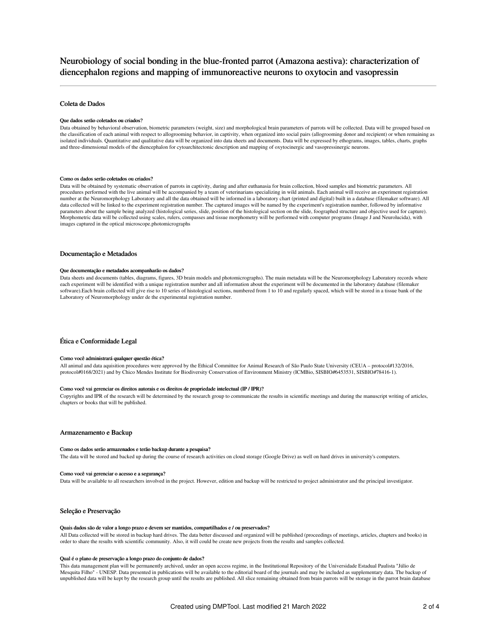# Neurobiology of social bonding in the blue-fronted parrot (Amazona aestiva): characterization of diencephalon regions and mapping of immunoreactive neurons to oxytocin and vasopressin

# Coleta de Dados

#### Que dados serão coletados ou criados?

Data obtained by behavioral observation, biometric parameters (weight, size) and morphological brain parameters of parrots will be collected. Data will be grouped based on the classification of each animal with respect to allogrooming behavior, in captivity, when organized into social pairs (allogrooming donor and recipient) or when remaining as isolated individuals. Quantitative and qualitative data will be organized into data sheets and documents. Data will be expressed by ethograms, images, tables, charts, graphs and three-dimensional models of the diencephalon for cytoarchitectonic description and mapping of oxytocinergic and vasopressinergic neurons.

## Como os dados serão coletados ou criados?

Data will be obtained by systematic observation of parrots in captivity, during and after euthanasia for brain collection, blood samples and biometric parameters. All procedures performed with the live animal will be accompanied by a team of veterinarians specializing in wild animals. Each animal will receive an experiment registration number at the Neuromorphology Laboratory and all the data obtained will be informed in a laboratory chart (printed and digital) built in a database (filemaker software). All data collected will be linked to the experiment registration number. The captured images will be named by the experiment's registration number, followed by informative parameters about the sample being analyzed (histological series, slide, position of the histological section on the slide, foographed structure and objective used for capture). Morphometric data will be collected using scales, rulers, compasses and tissue morphometry will be performed with computer programs (Image J and Neurolucida), with images captured in the optical microscope.photomicrographs

# Documentação e Metadados

#### Que documentação e metadados acompanharão os dados?

Data sheets and documents (tables, diagrams, figures, 3D brain models and photomicrographs). The main metadata will be the Neuromorphology Laboratory records where each experiment will be identified with a unique registration number and all information about the experiment will be documented in the laboratory database (filemaker software).Each brain collected will give rise to 10 series of histological sections, numbered from 1 to 10 and regularly spaced, which will be stored in a tissue bank of the Laboratory of Neuromorphology under de the experimental registration number.

### Ética e Conformidade Legal

#### Como você administrará qualquer questão ética?

All animal and data aquisition procedures were approved by the Ethical Committee for Animal Research of São Paulo State University (CEUA – protocol#132/2016, protocol#0168/2021) and by Chico Mendes Institute for Biodiversity Conservation of Environment Ministry (ICMBio, SISBIO#6453531, SISBIO#78416-1).

#### Como você vai gerenciar os direitos autorais e os direitos de propriedade intelectual (IP / IPR)?

Copyrights and IPR of the research will be determined by the research group to communicate the results in scientific meetings and during the manuscript writing of articles, chapters or books that will be published.

## Armazenamento e Backup

#### Como os dados serão armazenados e terão backup durante a pesquisa?

The data will be stored and backed up during the course of research activities on cloud storage (Google Drive) as well on hard drives in university's computers.

#### Como você vai gerenciar o acesso e a segurança?

Data will be available to all researchers involved in the project. However, edition and backup will be restricted to project administrator and the principal investigator.

#### Seleção e Preservação

#### Quais dados são de valor a longo prazo e devem ser mantidos, compartilhados e / ou preservados?

All Data collected will be stored in backup hard drives. The data better discussed and organized will be published (proceedings of meetings, articles, chapters and books) in order to share the results with scientific community. Also, it will could be create new projects from the results and samples collected.

#### Qual é o plano de preservação a longo prazo do conjunto de dados?

This data management plan will be permanently archived, under an open access regime, in the Institutional Repository of the Universidade Estadual Paulista "Júlio de Mesquita Filho" - UNESP. Data presented in publications will be available to the editorial board of the journals and may be included as supplementary data. The backup of unpublished data will be kept by the research group until the results are published. All slice remaining obtained from brain parrots will be storage in the parrot brain database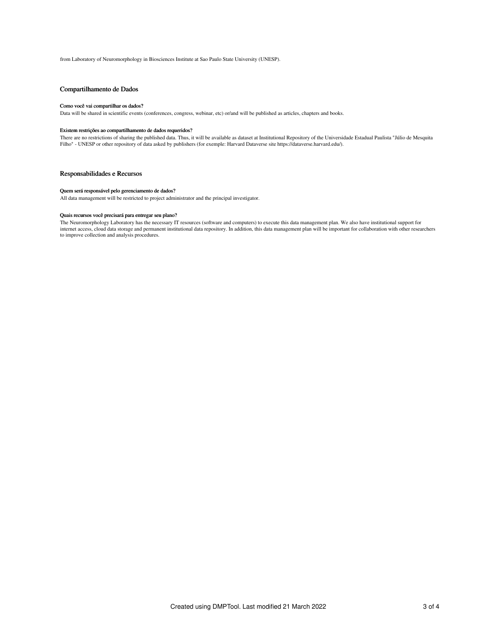from Laboratory of Neuromorphology in Biosciences Institute at Sao Paulo State University (UNESP).

# Compartilhamento de Dados

#### Como você vai compartilhar os dados?

Data will be shared in scientific events (conferences, congress, webinar, etc) or/and will be published as articles, chapters and books.

## Existem restrições ao compartilhamento de dados requeridos?

There are no restrictions of sharing the published data. Thus, it will be available as dataset at Institutional Repository of the Universidade Estadual Paulista "Júlio de Mesquita Filho" - UNESP or other repository of data asked by publishers (for exemple: Harvard Dataverse site https://dataverse.harvard.edu/).

# Responsabilidades e Recursos

#### Quem será responsável pelo gerenciamento de dados?

All data management will be restricted to project administrator and the principal investigator.

## Quais recursos você precisará para entregar seu plano?

The Neuromorphology Laboratory has the necessary IT resources (software and computers) to execute this data management plan. We also have institutional support for internet access, cloud data storage and permanent institutional data repository. In addition, this data management plan will be important for collaboration with other researchers to improve collection and analysis procedures.